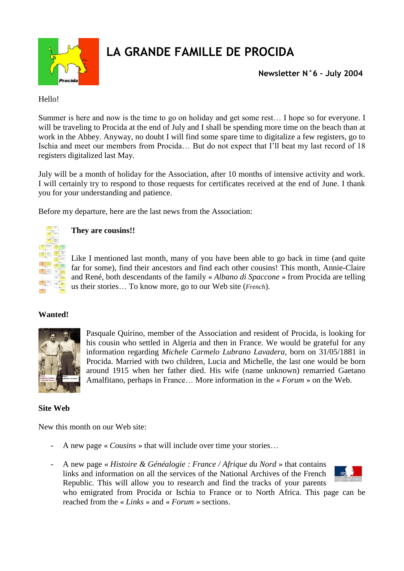

# **LA GRANDE FAMILLE DE PROCIDA**

**Newsletter N°6 – July 2004**

Hello!

Summer is here and now is the time to go on holiday and get some rest… I hope so for everyone. I will be traveling to Procida at the end of July and I shall be spending more time on the beach than at work in the Abbey. Anyway, no doubt I will find some spare time to digitalize a few registers, go to Ischia and meet our members from Procida… But do not expect that I'll beat my last record of 18 registers digitalized last May.

July will be a month of holiday for the Association, after 10 months of intensive activity and work. I will certainly try to respond to those requests for certificates received at the end of June. I thank you for your understanding and patience.

Before my departure, here are the last news from the Association:



### **They are cousins!!**

Like I mentioned last month, many of you have been able to go back in time (and quite far for some), find their ancestors and find each other cousins! This month, Annie-Claire and René, both descendants of the family « *Albano di Spaccone* » from Procida are telling us their stories… To know more, go to our Web site (*French*).

# **Wanted!**



Pasquale Quirino, member of the Association and resident of Procida, is looking for his cousin who settled in Algeria and then in France. We would be grateful for any information regarding *Michele Carmelo Lubrano Lavadera*, born on 31/05/1881 in Procida. Married with two children, Lucia and Michelle, the last one would be born around 1915 when her father died. His wife (name unknown) remarried Gaetano Amalfitano, perhaps in France… More information in the « *Forum* » on the Web.

# **Site Web**

New this month on our Web site:

- A new page « *Cousins* » that will include over time your stories…
- A new page « *Histoire & Généalogie : France / Afrique du Nord* » that contains links and information on all the services of the National Archives of the French Republic. This will allow you to research and find the tracks of your parents



who emigrated from Procida or Ischia to France or to North Africa. This page can be reached from the « *Links* » and « *Forum* » sections.